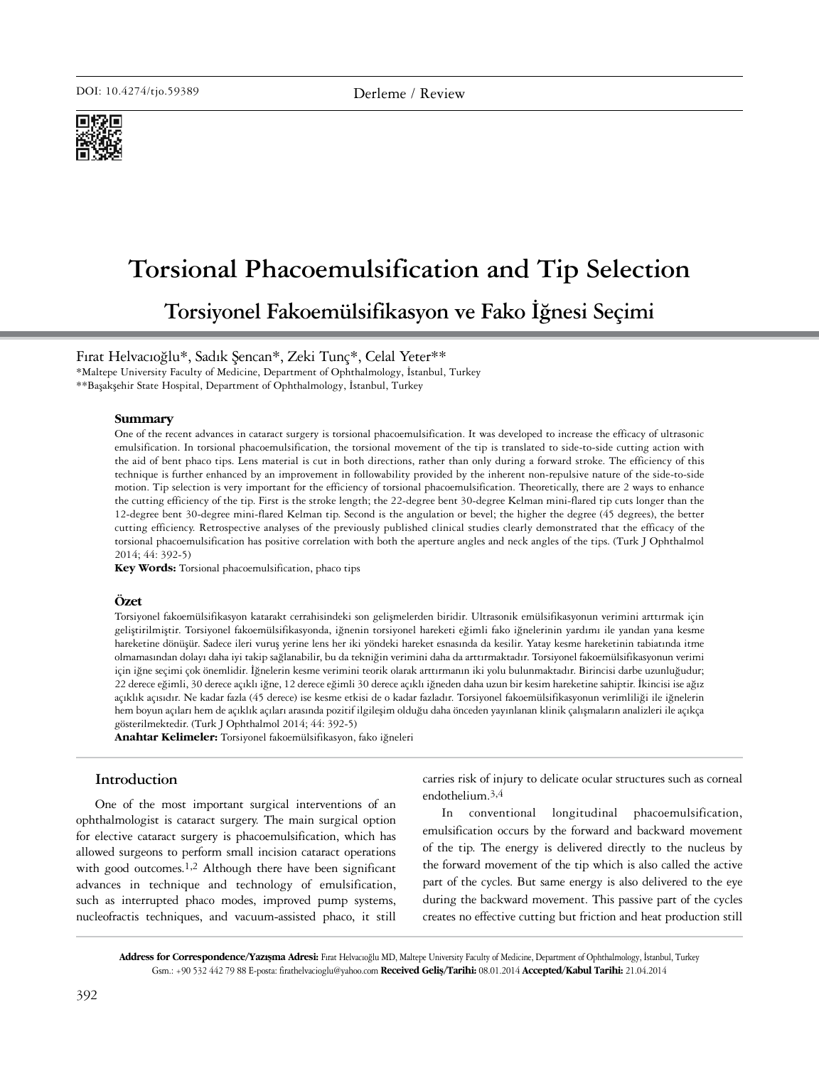

# **Torsional Phacoemulsification and Tip Selection Torsiyonel Fakoemülsifikasyon ve Fako İğnesi Seçimi**

Fırat Helvacıoğlu\*, Sadık Şencan\*, Zeki Tunç\*, Celal Yeter\*\*

\*Maltepe University Faculty of Medicine, Department of Ophthalmology, İstanbul, Turkey

\*\*Başakşehir State Hospital, Department of Ophthalmology, İstanbul, Turkey

#### **Summary**

One of the recent advances in cataract surgery is torsional phacoemulsification. It was developed to increase the efficacy of ultrasonic emulsification. In torsional phacoemulsification, the torsional movement of the tip is translated to side-to-side cutting action with the aid of bent phaco tips. Lens material is cut in both directions, rather than only during a forward stroke. The efficiency of this technique is further enhanced by an improvement in followability provided by the inherent non-repulsive nature of the side-to-side motion. Tip selection is very important for the efficiency of torsional phacoemulsification. Theoretically, there are 2 ways to enhance the cutting efficiency of the tip. First is the stroke length; the 22-degree bent 30-degree Kelman mini-flared tip cuts longer than the 12-degree bent 30-degree mini-flared Kelman tip. Second is the angulation or bevel; the higher the degree (45 degrees), the better cutting efficiency. Retrospective analyses of the previously published clinical studies clearly demonstrated that the efficacy of the torsional phacoemulsification has positive correlation with both the aperture angles and neck angles of the tips. (Turk J Ophthalmol 2014; 44: 392-5)

**Key Words:** Torsional phacoemulsification, phaco tips

#### **Özet**

Torsiyonel fakoemülsifikasyon katarakt cerrahisindeki son gelişmelerden biridir. Ultrasonik emülsifikasyonun verimini arttırmak için geliştirilmiştir. Torsiyonel fakoemülsifikasyonda, iğnenin torsiyonel hareketi eğimli fako iğnelerinin yardımı ile yandan yana kesme hareketine dönüşür. Sadece ileri vuruş yerine lens her iki yöndeki hareket esnasında da kesilir. Yatay kesme hareketinin tabiatında itme olmamasından dolayı daha iyi takip sağlanabilir, bu da tekniğin verimini daha da arttırmaktadır. Torsiyonel fakoemülsifikasyonun verimi için iğne seçimi çok önemlidir. İğnelerin kesme verimini teorik olarak arttırmanın iki yolu bulunmaktadır. Birincisi darbe uzunluğudur; 22 derece eğimli, 30 derece açıklı iğne, 12 derece eğimli 30 derece açıklı iğneden daha uzun bir kesim hareketine sahiptir. İkincisi ise ağız açıklık açısıdır. Ne kadar fazla (45 derece) ise kesme etkisi de o kadar fazladır. Torsiyonel fakoemülsifikasyonun verimliliği ile iğnelerin hem boyun açıları hem de açıklık açıları arasında pozitif ilgileşim olduğu daha önceden yayınlanan klinik çalışmaların analizleri ile açıkça gösterilmektedir. (Turk J Ophthalmol 2014; 44: 392-5)

**Anahtar Kelimeler:** Torsiyonel fakoemülsifikasyon, fako iğneleri

## **Introduction**

One of the most important surgical interventions of an ophthalmologist is cataract surgery. The main surgical option for elective cataract surgery is phacoemulsification, which has allowed surgeons to perform small incision cataract operations with good outcomes.<sup>1,2</sup> Although there have been significant advances in technique and technology of emulsification, such as interrupted phaco modes, improved pump systems, nucleofractis techniques, and vacuum-assisted phaco, it still

carries risk of injury to delicate ocular structures such as corneal endothelium.3,4

In conventional longitudinal phacoemulsification, emulsification occurs by the forward and backward movement of the tip. The energy is delivered directly to the nucleus by the forward movement of the tip which is also called the active part of the cycles. But same energy is also delivered to the eye during the backward movement. This passive part of the cycles creates no effective cutting but friction and heat production still

**Address for Correspondence/Yazışma Adresi:** Fırat Helvacıoğlu MD, Maltepe University Faculty of Medicine, Department of Ophthalmology, İstanbul, Turkey Gsm.: +90 532 442 79 88 E-posta: firathelvacioglu@yahoo.com **Received Geliş/Tarihi:** 08.01.2014 **Accepted/Kabul Tarihi:** 21.04.2014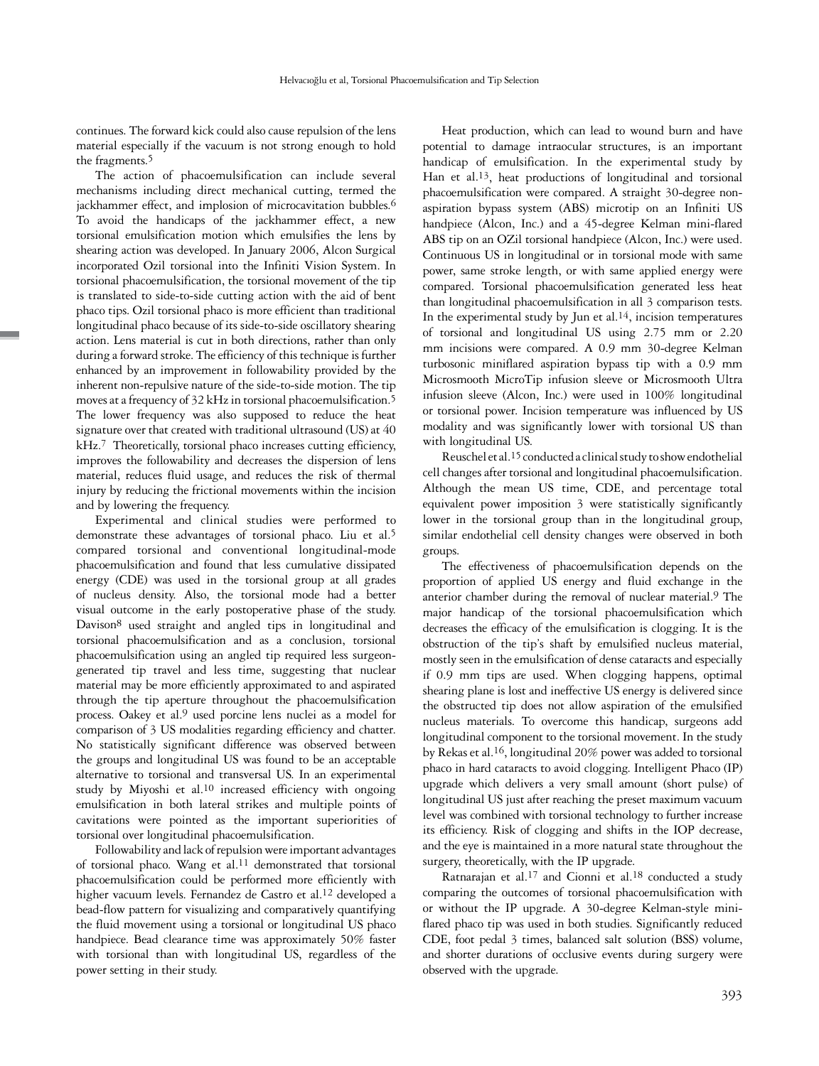continues. The forward kick could also cause repulsion of the lens material especially if the vacuum is not strong enough to hold the fragments.<sup>5</sup>

The action of phacoemulsification can include several mechanisms including direct mechanical cutting, termed the jackhammer effect, and implosion of microcavitation bubbles.<sup>6</sup> To avoid the handicaps of the jackhammer effect, a new torsional emulsification motion which emulsifies the lens by shearing action was developed. In January 2006, Alcon Surgical incorporated Ozil torsional into the Infiniti Vision System. In torsional phacoemulsification, the torsional movement of the tip is translated to side-to-side cutting action with the aid of bent phaco tips. Ozil torsional phaco is more efficient than traditional longitudinal phaco because of its side-to-side oscillatory shearing action. Lens material is cut in both directions, rather than only during a forward stroke. The efficiency of this technique is further enhanced by an improvement in followability provided by the inherent non-repulsive nature of the side-to-side motion. The tip moves at a frequency of 32 kHz in torsional phacoemulsification.<sup>5</sup> The lower frequency was also supposed to reduce the heat signature over that created with traditional ultrasound (US) at 40 kHz.<sup>7</sup> Theoretically, torsional phaco increases cutting efficiency, improves the followability and decreases the dispersion of lens material, reduces fluid usage, and reduces the risk of thermal injury by reducing the frictional movements within the incision and by lowering the frequency.

Experimental and clinical studies were performed to demonstrate these advantages of torsional phaco. Liu et al.5 compared torsional and conventional longitudinal-mode phacoemulsification and found that less cumulative dissipated energy (CDE) was used in the torsional group at all grades of nucleus density. Also, the torsional mode had a better visual outcome in the early postoperative phase of the study. Davison<sup>8</sup> used straight and angled tips in longitudinal and torsional phacoemulsification and as a conclusion, torsional phacoemulsification using an angled tip required less surgeongenerated tip travel and less time, suggesting that nuclear material may be more efficiently approximated to and aspirated through the tip aperture throughout the phacoemulsification process. Oakey et al.9 used porcine lens nuclei as a model for comparison of 3 US modalities regarding efficiency and chatter. No statistically significant difference was observed between the groups and longitudinal US was found to be an acceptable alternative to torsional and transversal US. In an experimental study by Miyoshi et al.10 increased efficiency with ongoing emulsification in both lateral strikes and multiple points of cavitations were pointed as the important superiorities of torsional over longitudinal phacoemulsification.

Followability and lack of repulsion were important advantages of torsional phaco. Wang et al.<sup>11</sup> demonstrated that torsional phacoemulsification could be performed more efficiently with higher vacuum levels. Fernandez de Castro et al.<sup>12</sup> developed a bead-flow pattern for visualizing and comparatively quantifying the fluid movement using a torsional or longitudinal US phaco handpiece. Bead clearance time was approximately 50% faster with torsional than with longitudinal US, regardless of the power setting in their study.

Heat production, which can lead to wound burn and have potential to damage intraocular structures, is an important handicap of emulsification. In the experimental study by Han et al.13, heat productions of longitudinal and torsional phacoemulsification were compared. A straight 30-degree nonaspiration bypass system (ABS) microtip on an Infiniti US handpiece (Alcon, Inc.) and a 45-degree Kelman mini-flared ABS tip on an OZil torsional handpiece (Alcon, Inc.) were used. Continuous US in longitudinal or in torsional mode with same power, same stroke length, or with same applied energy were compared. Torsional phacoemulsification generated less heat than longitudinal phacoemulsification in all 3 comparison tests. In the experimental study by Jun et al.<sup>14</sup>, incision temperatures of torsional and longitudinal US using 2.75 mm or 2.20 mm incisions were compared. A 0.9 mm 30-degree Kelman turbosonic miniflared aspiration bypass tip with a 0.9 mm Microsmooth MicroTip infusion sleeve or Microsmooth Ultra infusion sleeve (Alcon, Inc.) were used in 100% longitudinal or torsional power. Incision temperature was influenced by US modality and was significantly lower with torsional US than with longitudinal US.

Reuschel et al.15 conducted a clinical study to show endothelial cell changes after torsional and longitudinal phacoemulsification. Although the mean US time, CDE, and percentage total equivalent power imposition 3 were statistically significantly lower in the torsional group than in the longitudinal group, similar endothelial cell density changes were observed in both groups.

The effectiveness of phacoemulsification depends on the proportion of applied US energy and fluid exchange in the anterior chamber during the removal of nuclear material.<sup>9</sup> The major handicap of the torsional phacoemulsification which decreases the efficacy of the emulsification is clogging. It is the obstruction of the tip's shaft by emulsified nucleus material, mostly seen in the emulsification of dense cataracts and especially if 0.9 mm tips are used. When clogging happens, optimal shearing plane is lost and ineffective US energy is delivered since the obstructed tip does not allow aspiration of the emulsified nucleus materials. To overcome this handicap, surgeons add longitudinal component to the torsional movement. In the study by Rekas et al.16, longitudinal 20% power was added to torsional phaco in hard cataracts to avoid clogging. Intelligent Phaco (IP) upgrade which delivers a very small amount (short pulse) of longitudinal US just after reaching the preset maximum vacuum level was combined with torsional technology to further increase its efficiency. Risk of clogging and shifts in the IOP decrease, and the eye is maintained in a more natural state throughout the surgery, theoretically, with the IP upgrade.

Ratnarajan et al.17 and Cionni et al.18 conducted a study comparing the outcomes of torsional phacoemulsification with or without the IP upgrade. A 30-degree Kelman-style miniflared phaco tip was used in both studies. Significantly reduced CDE, foot pedal 3 times, balanced salt solution (BSS) volume, and shorter durations of occlusive events during surgery were observed with the upgrade.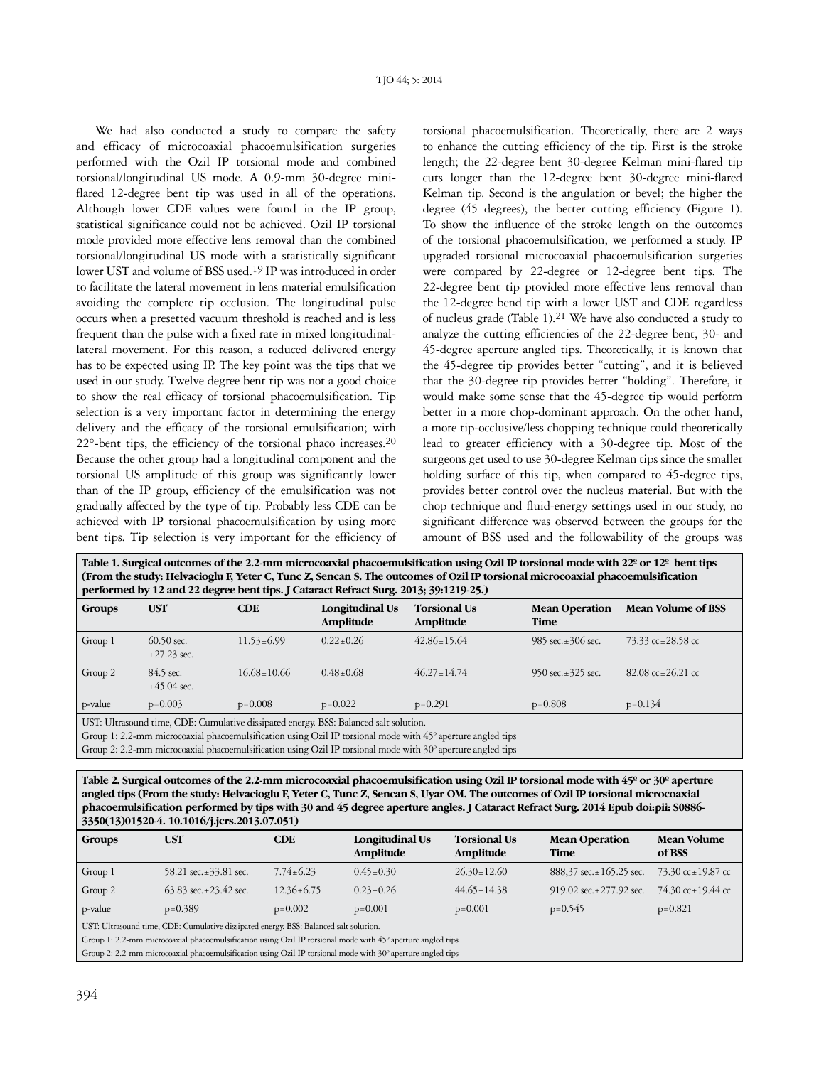We had also conducted a study to compare the safety and efficacy of microcoaxial phacoemulsification surgeries performed with the Ozil IP torsional mode and combined torsional/longitudinal US mode. A 0.9-mm 30-degree miniflared 12-degree bent tip was used in all of the operations. Although lower CDE values were found in the IP group, statistical significance could not be achieved. Ozil IP torsional mode provided more effective lens removal than the combined torsional/longitudinal US mode with a statistically significant lower UST and volume of BSS used.19 IP was introduced in order to facilitate the lateral movement in lens material emulsification avoiding the complete tip occlusion. The longitudinal pulse occurs when a presetted vacuum threshold is reached and is less frequent than the pulse with a fixed rate in mixed longitudinallateral movement. For this reason, a reduced delivered energy has to be expected using IP. The key point was the tips that we used in our study. Twelve degree bent tip was not a good choice to show the real efficacy of torsional phacoemulsification. Tip selection is a very important factor in determining the energy delivery and the efficacy of the torsional emulsification; with 22°-bent tips, the efficiency of the torsional phaco increases.20 Because the other group had a longitudinal component and the torsional US amplitude of this group was significantly lower than of the IP group, efficiency of the emulsification was not gradually affected by the type of tip. Probably less CDE can be achieved with IP torsional phacoemulsification by using more bent tips. Tip selection is very important for the efficiency of torsional phacoemulsification. Theoretically, there are 2 ways to enhance the cutting efficiency of the tip. First is the stroke length; the 22-degree bent 30-degree Kelman mini-flared tip cuts longer than the 12-degree bent 30-degree mini-flared Kelman tip. Second is the angulation or bevel; the higher the degree (45 degrees), the better cutting efficiency (Figure 1). To show the influence of the stroke length on the outcomes of the torsional phacoemulsification, we performed a study. IP upgraded torsional microcoaxial phacoemulsification surgeries were compared by 22-degree or 12-degree bent tips. The 22-degree bent tip provided more effective lens removal than the 12-degree bend tip with a lower UST and CDE regardless of nucleus grade (Table 1).21 We have also conducted a study to analyze the cutting efficiencies of the 22-degree bent, 30- and 45-degree aperture angled tips. Theoretically, it is known that the 45-degree tip provides better "cutting", and it is believed that the 30-degree tip provides better "holding". Therefore, it would make some sense that the 45-degree tip would perform better in a more chop-dominant approach. On the other hand, a more tip-occlusive/less chopping technique could theoretically lead to greater efficiency with a 30-degree tip. Most of the surgeons get used to use 30-degree Kelman tips since the smaller holding surface of this tip, when compared to 45-degree tips, provides better control over the nucleus material. But with the chop technique and fluid-energy settings used in our study, no significant difference was observed between the groups for the amount of BSS used and the followability of the groups was

| Table 1. Surgical outcomes of the 2.2-mm microcoaxial phacoemulsification using Ozil IP torsional mode with $22^{\circ}$ or $12^{\circ}$ bent tips<br>(From the study: Helvacioglu F, Yeter C, Tunc Z, Sencan S. The outcomes of Ozil IP torsional microcoaxial phacoemulsification<br>performed by 12 and 22 degree bent tips. J Cataract Refract Surg. 2013; 39:1219-25.) |                               |                   |                              |                                  |                               |                                         |  |  |  |  |  |
|-----------------------------------------------------------------------------------------------------------------------------------------------------------------------------------------------------------------------------------------------------------------------------------------------------------------------------------------------------------------------------|-------------------------------|-------------------|------------------------------|----------------------------------|-------------------------------|-----------------------------------------|--|--|--|--|--|
| Groups                                                                                                                                                                                                                                                                                                                                                                      | <b>UST</b>                    | <b>CDE</b>        | Longitudinal Us<br>Amplitude | <b>Torsional Us</b><br>Amplitude | <b>Mean Operation</b><br>Time | <b>Mean Volume of BSS</b>               |  |  |  |  |  |
| Group 1                                                                                                                                                                                                                                                                                                                                                                     | $60.50$ sec.<br>$±27.23$ sec. | $11.53 \pm 6.99$  | $0.22+0.26$                  | $42.86 \pm 15.64$                | 985 sec. $\pm 306$ sec.       | 73.33 $cc \pm 28.58$ cc                 |  |  |  |  |  |
| Group 2                                                                                                                                                                                                                                                                                                                                                                     | 84.5 sec.<br>$±45.04$ sec.    | $16.68 \pm 10.66$ | $0.48 + 0.68$                | $46.27 + 14.74$                  | 950 sec. $\pm$ 325 sec.       | $82.08 \text{ cc} \pm 26.21 \text{ cc}$ |  |  |  |  |  |
| p-value                                                                                                                                                                                                                                                                                                                                                                     | $p=0.003$                     | $p=0.008$         | $p=0.022$                    | $p=0.291$                        | $p=0.808$                     | $p=0.134$                               |  |  |  |  |  |
| UST: Ultrasound time, CDE: Cumulative dissipated energy. BSS: Balanced salt solution.<br>$C_{\text{max}}$ 1, 2.2. $\ldots$ and $\ldots$ is a contract of $C_{\text{max}}$ and $C_{\text{max}}$ and $\ldots$ and $\ldots$ $\ldots$ $\ldots$ and $\ldots$                                                                                                                     |                               |                   |                              |                                  |                               |                                         |  |  |  |  |  |

al phacoemulsification using Ozil IP torsional mode with 45° aperture angled tips

Group 2: 2.2-mm microcoaxial phacoemulsification using Ozil IP torsional mode with 30º aperture angled tips

**Table 2. Surgical outcomes of the 2.2-mm microcoaxial phacoemulsification using Ozil IP torsional mode with 45º or 30º aperture angled tips (From the study: Helvacioglu F, Yeter C, Tunc Z, Sencan S, Uyar OM. The outcomes of Ozil IP torsional microcoaxial phacoemulsification performed by tips with 30 and 45 degree aperture angles. J Cataract Refract Surg. 2014 Epub doi:pii: S0886- 3350(13)01520-4. 10.1016/j.jcrs.2013.07.051)**

| Groups                                                                                                      | <b>UST</b>                    | CDE              | Longitudinal Us<br>Amplitude | <b>Torsional Us</b><br>Amplitude | <b>Mean Operation</b><br>Time   | Mean Volume<br>of BSS |  |  |  |  |
|-------------------------------------------------------------------------------------------------------------|-------------------------------|------------------|------------------------------|----------------------------------|---------------------------------|-----------------------|--|--|--|--|
| Group 1                                                                                                     | 58.21 sec. $\pm$ 33.81 sec.   | $7.74 \pm 6.23$  | $0.45 \pm 0.30$              | $26.30 \pm 12.60$                | $888,37$ sec. $\pm 165.25$ sec. | 73.30 cc±19.87 cc     |  |  |  |  |
| Group 2                                                                                                     | $63.83$ sec. $\pm 23.42$ sec. | $12.36 \pm 6.75$ | $0.23 \pm 0.26$              | $44.65 \pm 14.38$                | 919.02 sec. $\pm$ 277.92 sec.   | 74.30 cc ± 19.44 cc   |  |  |  |  |
| p-value                                                                                                     | $p=0.389$                     | $p=0.002$        | $p=0.001$                    | $p=0.001$                        | $p=0.545$                       | $p=0.821$             |  |  |  |  |
| UST: Ultrasound time, CDE: Cumulative dissipated energy. BSS: Balanced salt solution.                       |                               |                  |                              |                                  |                                 |                       |  |  |  |  |
| Group 1: 2.2-mm microcoaxial phacoemulsification using Ozil IP torsional mode with 45° aperture angled tips |                               |                  |                              |                                  |                                 |                       |  |  |  |  |

Group 2: 2.2-mm microcoaxial phacoemulsification using Ozil IP torsional mode with 30º aperture angled tips